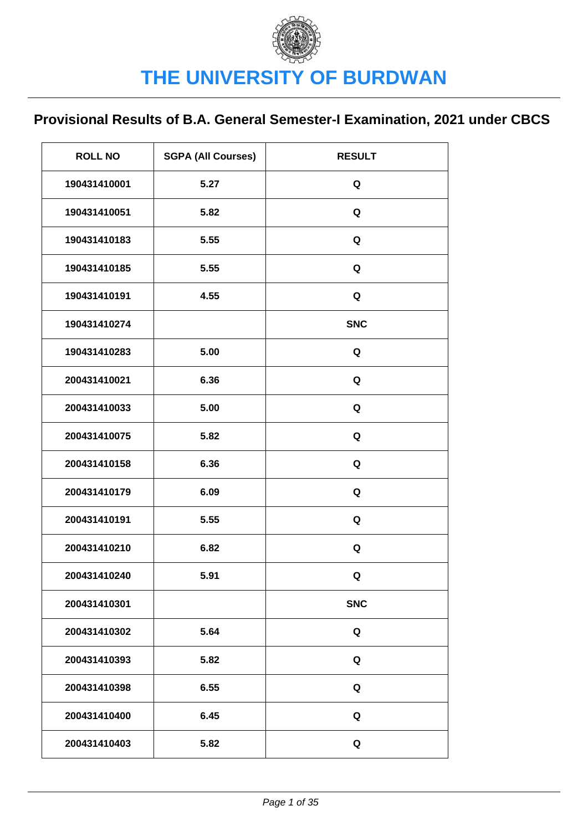| <b>ROLL NO</b> | <b>SGPA (All Courses)</b> | <b>RESULT</b> |
|----------------|---------------------------|---------------|
| 190431410001   | 5.27                      | Q             |
| 190431410051   | 5.82                      | Q             |
| 190431410183   | 5.55                      | Q             |
| 190431410185   | 5.55                      | Q             |
| 190431410191   | 4.55                      | Q             |
| 190431410274   |                           | <b>SNC</b>    |
| 190431410283   | 5.00                      | Q             |
| 200431410021   | 6.36                      | Q             |
| 200431410033   | 5.00                      | Q             |
| 200431410075   | 5.82                      | Q             |
| 200431410158   | 6.36                      | Q             |
| 200431410179   | 6.09                      | Q             |
| 200431410191   | 5.55                      | Q             |
| 200431410210   | 6.82                      | Q             |
| 200431410240   | 5.91                      | Q             |
| 200431410301   |                           | <b>SNC</b>    |
| 200431410302   | 5.64                      | Q             |
| 200431410393   | 5.82                      | Q             |
| 200431410398   | 6.55                      | Q             |
| 200431410400   | 6.45                      | Q             |
| 200431410403   | 5.82                      | Q             |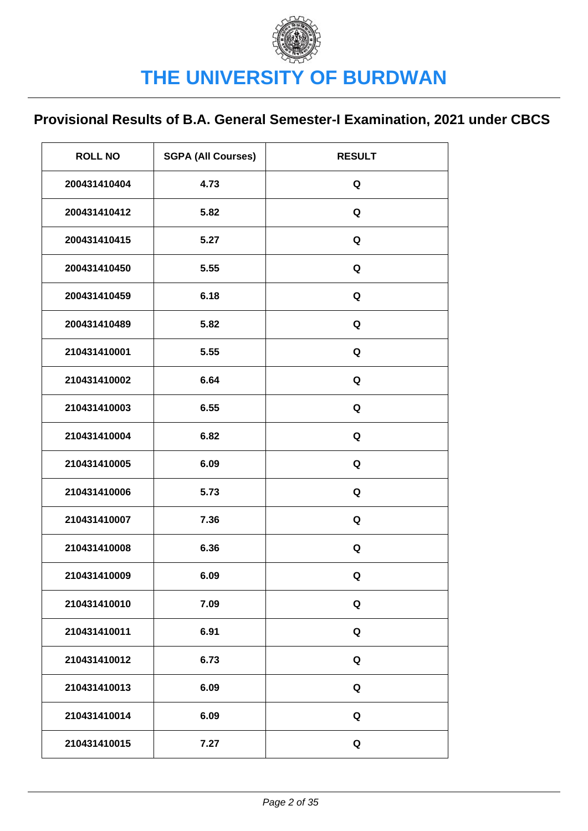| <b>ROLL NO</b> | <b>SGPA (All Courses)</b> | <b>RESULT</b> |
|----------------|---------------------------|---------------|
| 200431410404   | 4.73                      | Q             |
| 200431410412   | 5.82                      | Q             |
| 200431410415   | 5.27                      | Q             |
| 200431410450   | 5.55                      | Q             |
| 200431410459   | 6.18                      | Q             |
| 200431410489   | 5.82                      | Q             |
| 210431410001   | 5.55                      | Q             |
| 210431410002   | 6.64                      | Q             |
| 210431410003   | 6.55                      | Q             |
| 210431410004   | 6.82                      | Q             |
| 210431410005   | 6.09                      | Q             |
| 210431410006   | 5.73                      | Q             |
| 210431410007   | 7.36                      | Q             |
| 210431410008   | 6.36                      | Q             |
| 210431410009   | 6.09                      | Q             |
| 210431410010   | 7.09                      | Q             |
| 210431410011   | 6.91                      | Q             |
| 210431410012   | 6.73                      | Q             |
| 210431410013   | 6.09                      | Q             |
| 210431410014   | 6.09                      | Q             |
| 210431410015   | 7.27                      | Q             |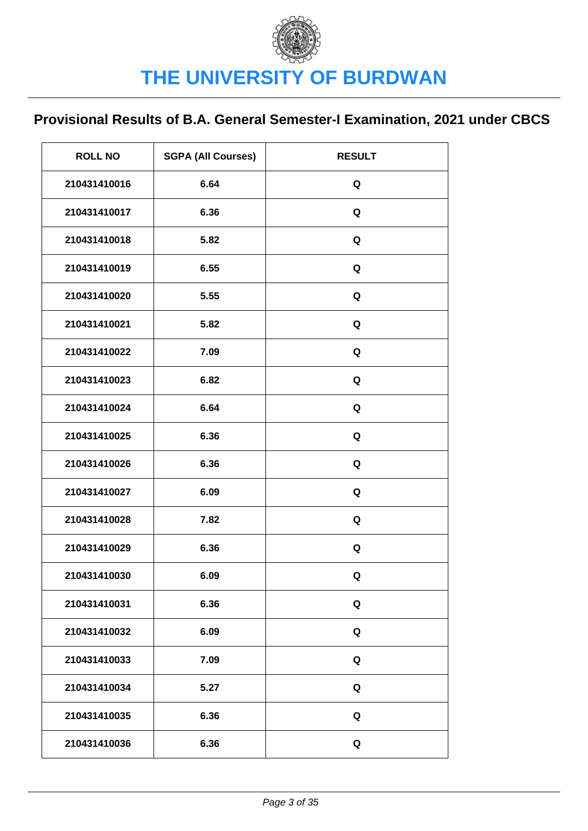| <b>ROLL NO</b> | <b>SGPA (All Courses)</b> | <b>RESULT</b> |
|----------------|---------------------------|---------------|
| 210431410016   | 6.64                      | Q             |
| 210431410017   | 6.36                      | Q             |
| 210431410018   | 5.82                      | Q             |
| 210431410019   | 6.55                      | Q             |
| 210431410020   | 5.55                      | Q             |
| 210431410021   | 5.82                      | Q             |
| 210431410022   | 7.09                      | Q             |
| 210431410023   | 6.82                      | Q             |
| 210431410024   | 6.64                      | Q             |
| 210431410025   | 6.36                      | Q             |
| 210431410026   | 6.36                      | Q             |
| 210431410027   | 6.09                      | Q             |
| 210431410028   | 7.82                      | Q             |
| 210431410029   | 6.36                      | Q             |
| 210431410030   | 6.09                      | Q             |
| 210431410031   | 6.36                      | Q             |
| 210431410032   | 6.09                      | Q             |
| 210431410033   | 7.09                      | Q             |
| 210431410034   | 5.27                      | Q             |
| 210431410035   | 6.36                      | Q             |
| 210431410036   | 6.36                      | Q             |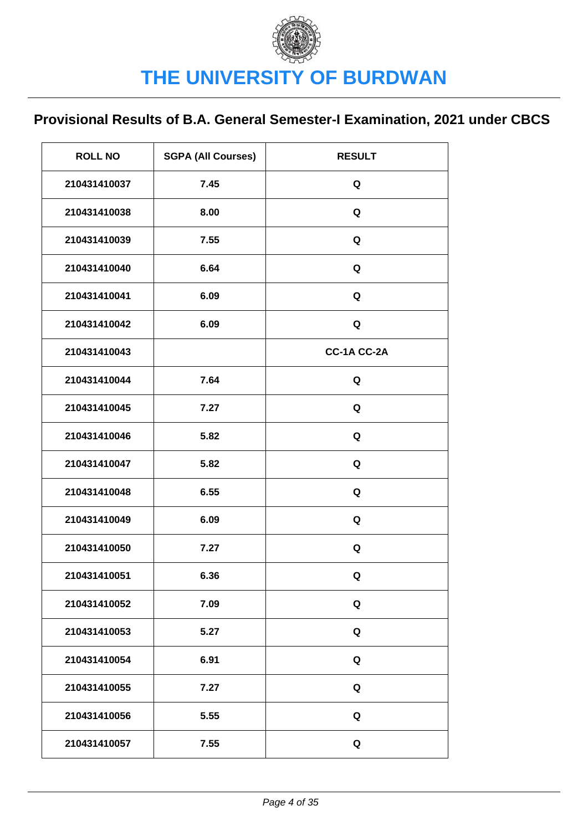| <b>ROLL NO</b> | <b>SGPA (All Courses)</b> | <b>RESULT</b> |
|----------------|---------------------------|---------------|
| 210431410037   | 7.45                      | Q             |
| 210431410038   | 8.00                      | Q             |
| 210431410039   | 7.55                      | Q             |
| 210431410040   | 6.64                      | Q             |
| 210431410041   | 6.09                      | Q             |
| 210431410042   | 6.09                      | Q             |
| 210431410043   |                           | CC-1A CC-2A   |
| 210431410044   | 7.64                      | Q             |
| 210431410045   | 7.27                      | Q             |
| 210431410046   | 5.82                      | Q             |
| 210431410047   | 5.82                      | Q             |
| 210431410048   | 6.55                      | Q             |
| 210431410049   | 6.09                      | Q             |
| 210431410050   | 7.27                      | Q             |
| 210431410051   | 6.36                      | Q             |
| 210431410052   | 7.09                      | Q             |
| 210431410053   | 5.27                      | Q             |
| 210431410054   | 6.91                      | Q             |
| 210431410055   | 7.27                      | Q             |
| 210431410056   | 5.55                      | Q             |
| 210431410057   | 7.55                      | Q             |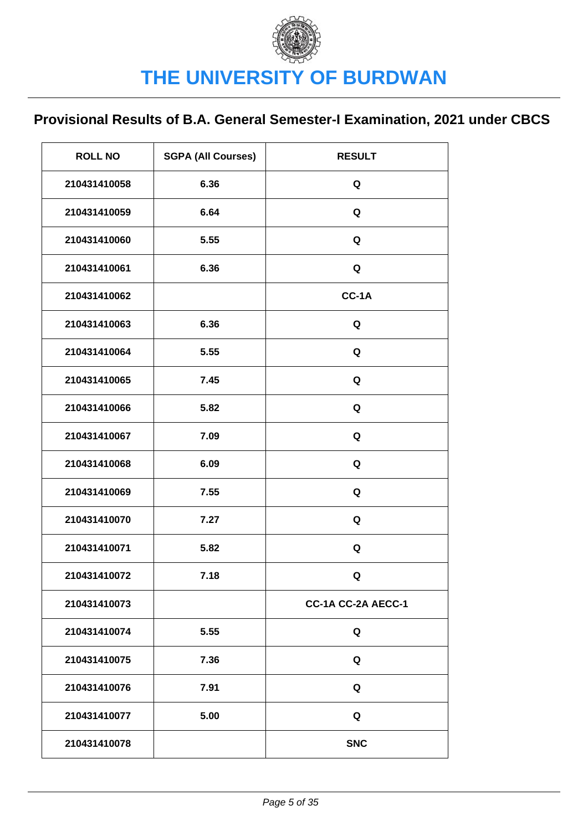| <b>ROLL NO</b> | <b>SGPA (All Courses)</b> | <b>RESULT</b>      |
|----------------|---------------------------|--------------------|
| 210431410058   | 6.36                      | Q                  |
| 210431410059   | 6.64                      | Q                  |
| 210431410060   | 5.55                      | Q                  |
| 210431410061   | 6.36                      | Q                  |
| 210431410062   |                           | CC-1A              |
| 210431410063   | 6.36                      | Q                  |
| 210431410064   | 5.55                      | Q                  |
| 210431410065   | 7.45                      | Q                  |
| 210431410066   | 5.82                      | Q                  |
| 210431410067   | 7.09                      | Q                  |
| 210431410068   | 6.09                      | Q                  |
| 210431410069   | 7.55                      | Q                  |
| 210431410070   | 7.27                      | Q                  |
| 210431410071   | 5.82                      | Q                  |
| 210431410072   | 7.18                      | Q                  |
| 210431410073   |                           | CC-1A CC-2A AECC-1 |
| 210431410074   | 5.55                      | Q                  |
| 210431410075   | 7.36                      | Q                  |
| 210431410076   | 7.91                      | Q                  |
| 210431410077   | 5.00                      | Q                  |
| 210431410078   |                           | <b>SNC</b>         |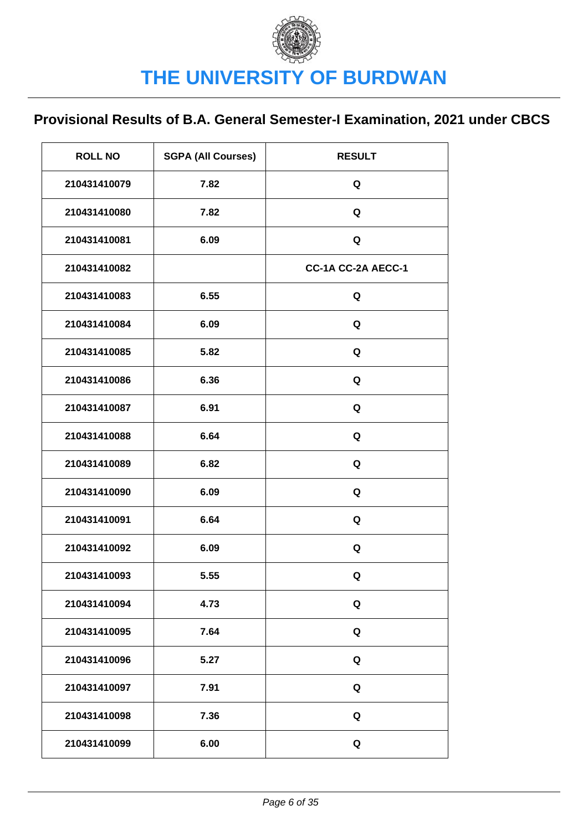| <b>ROLL NO</b> | <b>SGPA (All Courses)</b> | <b>RESULT</b>      |
|----------------|---------------------------|--------------------|
| 210431410079   | 7.82                      | Q                  |
| 210431410080   | 7.82                      | Q                  |
| 210431410081   | 6.09                      | Q                  |
| 210431410082   |                           | CC-1A CC-2A AECC-1 |
| 210431410083   | 6.55                      | Q                  |
| 210431410084   | 6.09                      | Q                  |
| 210431410085   | 5.82                      | Q                  |
| 210431410086   | 6.36                      | Q                  |
| 210431410087   | 6.91                      | Q                  |
| 210431410088   | 6.64                      | Q                  |
| 210431410089   | 6.82                      | Q                  |
| 210431410090   | 6.09                      | Q                  |
| 210431410091   | 6.64                      | Q                  |
| 210431410092   | 6.09                      | Q                  |
| 210431410093   | 5.55                      | Q                  |
| 210431410094   | 4.73                      | Q                  |
| 210431410095   | 7.64                      | Q                  |
| 210431410096   | 5.27                      | Q                  |
| 210431410097   | 7.91                      | Q                  |
| 210431410098   | 7.36                      | Q                  |
| 210431410099   | 6.00                      | Q                  |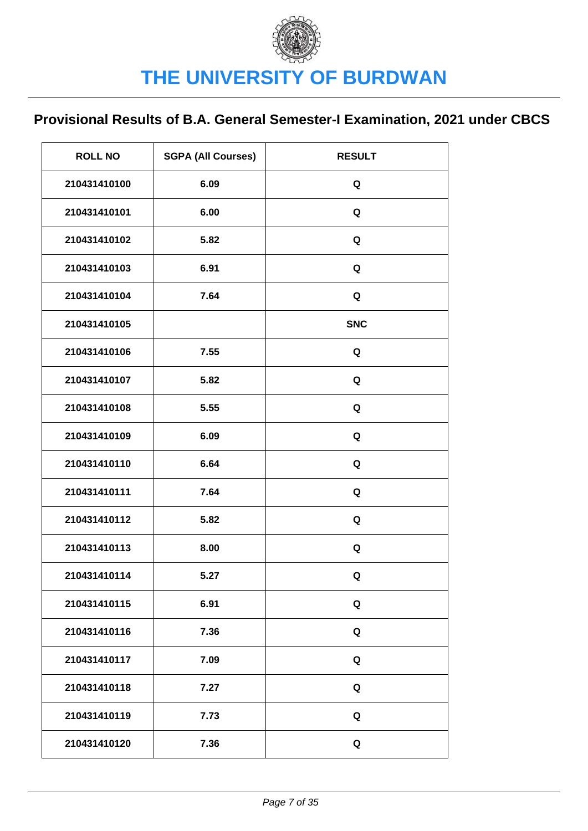| <b>ROLL NO</b> | <b>SGPA (All Courses)</b> | <b>RESULT</b> |
|----------------|---------------------------|---------------|
| 210431410100   | 6.09                      | Q             |
| 210431410101   | 6.00                      | Q             |
| 210431410102   | 5.82                      | Q             |
| 210431410103   | 6.91                      | Q             |
| 210431410104   | 7.64                      | Q             |
| 210431410105   |                           | <b>SNC</b>    |
| 210431410106   | 7.55                      | Q             |
| 210431410107   | 5.82                      | Q             |
| 210431410108   | 5.55                      | Q             |
| 210431410109   | 6.09                      | Q             |
| 210431410110   | 6.64                      | Q             |
| 210431410111   | 7.64                      | Q             |
| 210431410112   | 5.82                      | Q             |
| 210431410113   | 8.00                      | Q             |
| 210431410114   | 5.27                      | Q             |
| 210431410115   | 6.91                      | Q             |
| 210431410116   | 7.36                      | Q             |
| 210431410117   | 7.09                      | Q             |
| 210431410118   | 7.27                      | Q             |
| 210431410119   | 7.73                      | Q             |
| 210431410120   | 7.36                      | Q             |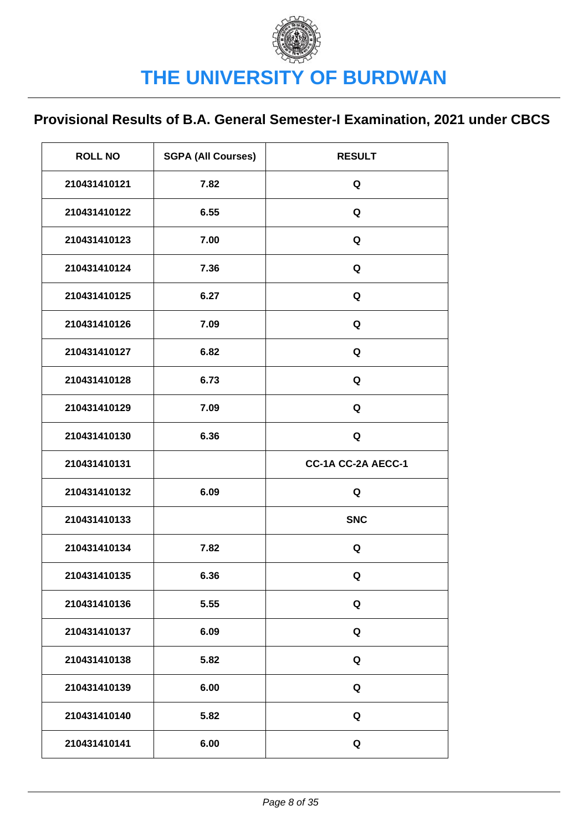| <b>ROLL NO</b> | <b>SGPA (All Courses)</b> | <b>RESULT</b>      |
|----------------|---------------------------|--------------------|
| 210431410121   | 7.82                      | Q                  |
| 210431410122   | 6.55                      | Q                  |
| 210431410123   | 7.00                      | Q                  |
| 210431410124   | 7.36                      | Q                  |
| 210431410125   | 6.27                      | Q                  |
| 210431410126   | 7.09                      | Q                  |
| 210431410127   | 6.82                      | Q                  |
| 210431410128   | 6.73                      | Q                  |
| 210431410129   | 7.09                      | Q                  |
| 210431410130   | 6.36                      | Q                  |
|                |                           |                    |
| 210431410131   |                           | CC-1A CC-2A AECC-1 |
| 210431410132   | 6.09                      | Q                  |
| 210431410133   |                           | <b>SNC</b>         |
| 210431410134   | 7.82                      | Q                  |
| 210431410135   | 6.36                      | Q                  |
| 210431410136   | 5.55                      | Q                  |
| 210431410137   | 6.09                      | Q                  |
| 210431410138   | 5.82                      | Q                  |
| 210431410139   | 6.00                      | Q                  |
| 210431410140   | 5.82                      | Q                  |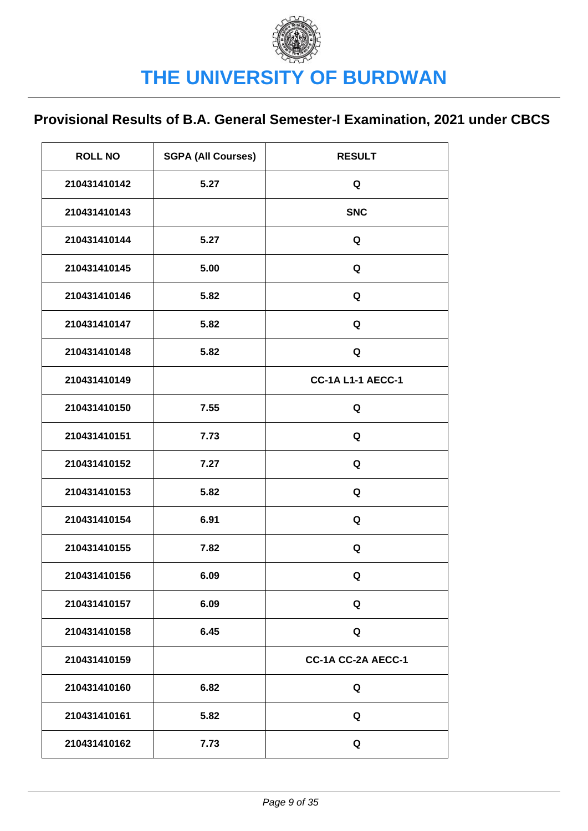| <b>ROLL NO</b> | <b>SGPA (All Courses)</b> | <b>RESULT</b>            |
|----------------|---------------------------|--------------------------|
| 210431410142   | 5.27                      | Q                        |
| 210431410143   |                           | <b>SNC</b>               |
| 210431410144   | 5.27                      | Q                        |
| 210431410145   | 5.00                      | Q                        |
| 210431410146   | 5.82                      | Q                        |
| 210431410147   | 5.82                      | Q                        |
| 210431410148   | 5.82                      | Q                        |
| 210431410149   |                           | <b>CC-1A L1-1 AECC-1</b> |
| 210431410150   | 7.55                      | Q                        |
| 210431410151   | 7.73                      | Q                        |
| 210431410152   | 7.27                      | Q                        |
| 210431410153   | 5.82                      | Q                        |
| 210431410154   | 6.91                      | Q                        |
| 210431410155   | 7.82                      | Q                        |
| 210431410156   | 6.09                      | Q                        |
| 210431410157   | 6.09                      | Q                        |
| 210431410158   | 6.45                      | Q                        |
| 210431410159   |                           | CC-1A CC-2A AECC-1       |
| 210431410160   | 6.82                      | Q                        |
| 210431410161   | 5.82                      | Q                        |
| 210431410162   | 7.73                      | Q                        |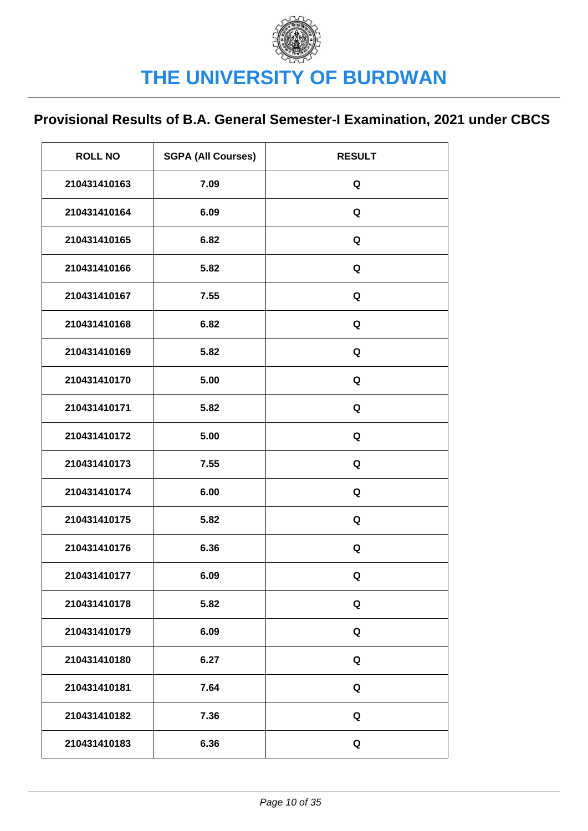| <b>ROLL NO</b> | <b>SGPA (All Courses)</b> | <b>RESULT</b> |
|----------------|---------------------------|---------------|
| 210431410163   | 7.09                      | Q             |
| 210431410164   | 6.09                      | Q             |
| 210431410165   | 6.82                      | Q             |
| 210431410166   | 5.82                      | Q             |
| 210431410167   | 7.55                      | Q             |
| 210431410168   | 6.82                      | Q             |
| 210431410169   | 5.82                      | Q             |
| 210431410170   | 5.00                      | Q             |
| 210431410171   | 5.82                      | Q             |
| 210431410172   | 5.00                      | Q             |
| 210431410173   | 7.55                      | Q             |
| 210431410174   | 6.00                      | Q             |
| 210431410175   | 5.82                      | Q             |
| 210431410176   | 6.36                      | Q             |
| 210431410177   | 6.09                      | Q             |
| 210431410178   | 5.82                      | Q             |
| 210431410179   | 6.09                      | Q             |
| 210431410180   | 6.27                      | Q             |
| 210431410181   | 7.64                      | Q             |
| 210431410182   | 7.36                      | Q             |
| 210431410183   | 6.36                      | Q             |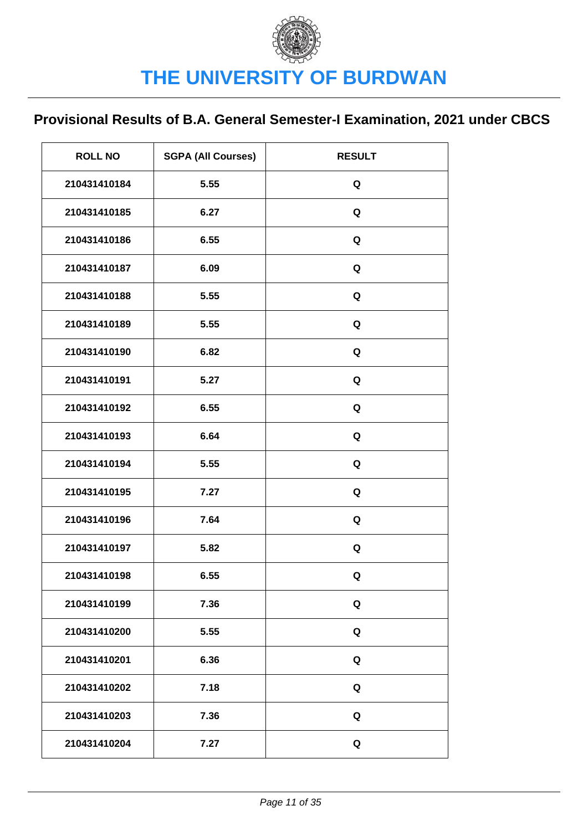| <b>ROLL NO</b> | <b>SGPA (All Courses)</b> | <b>RESULT</b> |
|----------------|---------------------------|---------------|
| 210431410184   | 5.55                      | Q             |
| 210431410185   | 6.27                      | Q             |
| 210431410186   | 6.55                      | Q             |
| 210431410187   | 6.09                      | Q             |
| 210431410188   | 5.55                      | Q             |
| 210431410189   | 5.55                      | Q             |
| 210431410190   | 6.82                      | Q             |
| 210431410191   | 5.27                      | Q             |
| 210431410192   | 6.55                      | Q             |
| 210431410193   | 6.64                      | Q             |
| 210431410194   | 5.55                      | Q             |
| 210431410195   | 7.27                      | Q             |
| 210431410196   | 7.64                      | Q             |
| 210431410197   | 5.82                      | Q             |
| 210431410198   | 6.55                      | Q             |
| 210431410199   | 7.36                      | Q             |
| 210431410200   | 5.55                      | Q             |
| 210431410201   | 6.36                      | Q             |
| 210431410202   | 7.18                      | Q             |
| 210431410203   | 7.36                      | Q             |
| 210431410204   | 7.27                      | Q             |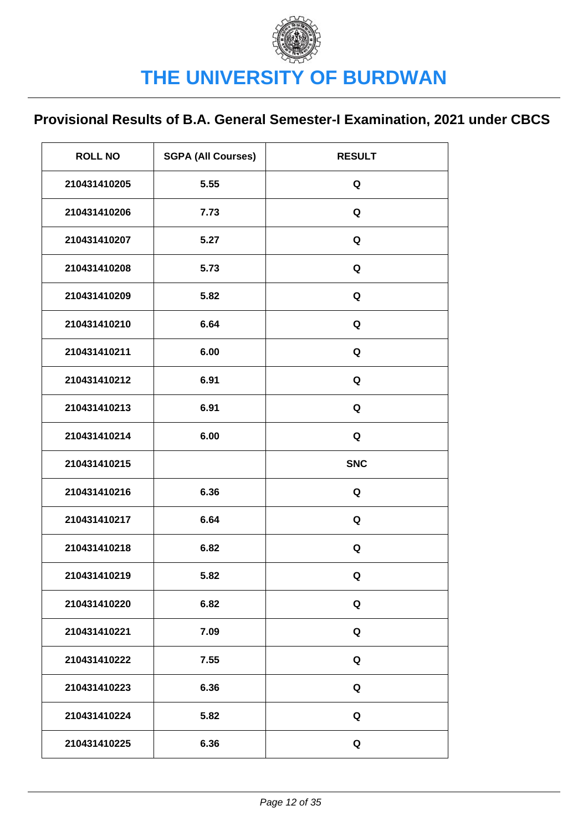| <b>ROLL NO</b> | <b>SGPA (All Courses)</b> | <b>RESULT</b> |
|----------------|---------------------------|---------------|
| 210431410205   | 5.55                      | Q             |
| 210431410206   | 7.73                      | Q             |
| 210431410207   | 5.27                      | Q             |
| 210431410208   | 5.73                      | Q             |
| 210431410209   | 5.82                      | Q             |
| 210431410210   | 6.64                      | Q             |
| 210431410211   | 6.00                      | Q             |
| 210431410212   | 6.91                      | Q             |
| 210431410213   | 6.91                      | Q             |
| 210431410214   | 6.00                      | Q             |
| 210431410215   |                           | <b>SNC</b>    |
| 210431410216   | 6.36                      | Q             |
| 210431410217   | 6.64                      | Q             |
| 210431410218   | 6.82                      | Q             |
| 210431410219   | 5.82                      | Q             |
| 210431410220   | 6.82                      | Q             |
| 210431410221   | 7.09                      | Q             |
| 210431410222   | 7.55                      | Q             |
| 210431410223   | 6.36                      | Q             |
| 210431410224   | 5.82                      | Q             |
| 210431410225   | 6.36                      | Q             |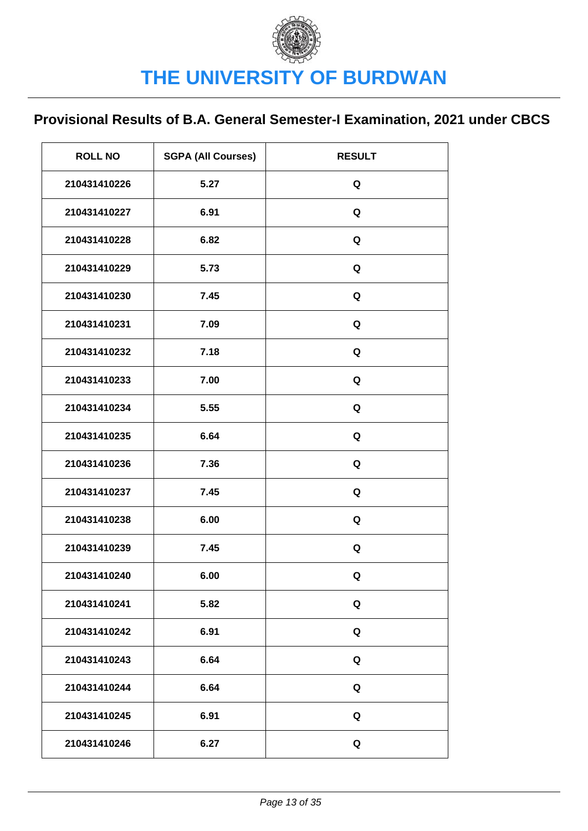| <b>ROLL NO</b> | <b>SGPA (All Courses)</b> | <b>RESULT</b> |
|----------------|---------------------------|---------------|
| 210431410226   | 5.27                      | Q             |
| 210431410227   | 6.91                      | Q             |
| 210431410228   | 6.82                      | Q             |
| 210431410229   | 5.73                      | Q             |
| 210431410230   | 7.45                      | Q             |
| 210431410231   | 7.09                      | Q             |
| 210431410232   | 7.18                      | Q             |
| 210431410233   | 7.00                      | Q             |
| 210431410234   | 5.55                      | Q             |
| 210431410235   | 6.64                      | Q             |
| 210431410236   | 7.36                      | Q             |
| 210431410237   | 7.45                      | Q             |
| 210431410238   | 6.00                      | Q             |
| 210431410239   | 7.45                      | Q             |
| 210431410240   | 6.00                      | Q             |
| 210431410241   | 5.82                      | Q             |
| 210431410242   | 6.91                      | Q             |
| 210431410243   | 6.64                      | Q             |
| 210431410244   | 6.64                      | Q             |
| 210431410245   | 6.91                      | Q             |
| 210431410246   | 6.27                      | Q             |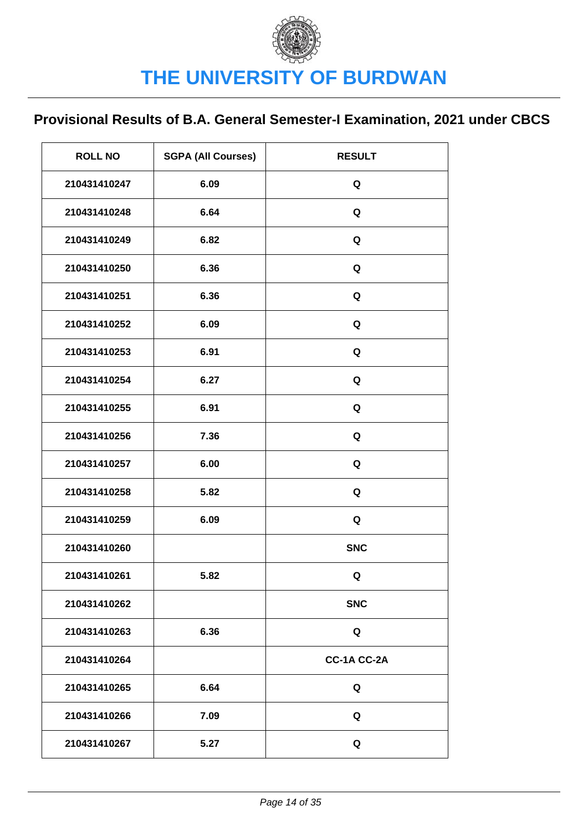| <b>ROLL NO</b> | <b>SGPA (All Courses)</b> | <b>RESULT</b> |
|----------------|---------------------------|---------------|
| 210431410247   | 6.09                      | Q             |
| 210431410248   | 6.64                      | Q             |
| 210431410249   | 6.82                      | Q             |
| 210431410250   | 6.36                      | Q             |
| 210431410251   | 6.36                      | Q             |
| 210431410252   | 6.09                      | Q             |
| 210431410253   | 6.91                      | Q             |
| 210431410254   | 6.27                      | Q             |
| 210431410255   | 6.91                      | Q             |
| 210431410256   | 7.36                      | Q             |
| 210431410257   | 6.00                      | Q             |
| 210431410258   | 5.82                      | Q             |
| 210431410259   | 6.09                      | Q             |
| 210431410260   |                           | <b>SNC</b>    |
| 210431410261   | 5.82                      | Q             |
| 210431410262   |                           | <b>SNC</b>    |
| 210431410263   | 6.36                      | Q             |
| 210431410264   |                           | CC-1A CC-2A   |
| 210431410265   | 6.64                      | Q             |
| 210431410266   | 7.09                      | Q             |
| 210431410267   | 5.27                      | Q             |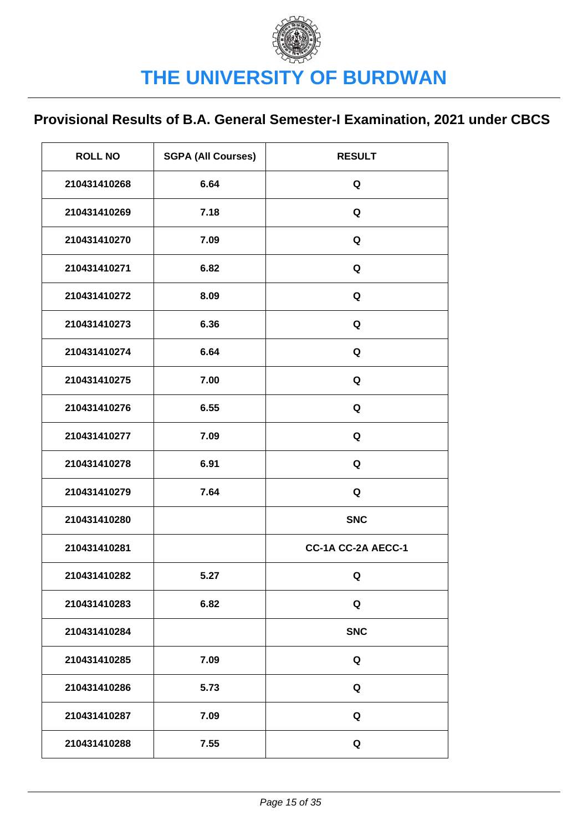| <b>ROLL NO</b> | <b>SGPA (All Courses)</b> | <b>RESULT</b>      |
|----------------|---------------------------|--------------------|
| 210431410268   | 6.64                      | Q                  |
| 210431410269   | 7.18                      | Q                  |
| 210431410270   | 7.09                      | Q                  |
| 210431410271   | 6.82                      | Q                  |
| 210431410272   | 8.09                      | Q                  |
| 210431410273   | 6.36                      | Q                  |
| 210431410274   | 6.64                      | Q                  |
| 210431410275   | 7.00                      | Q                  |
| 210431410276   | 6.55                      | Q                  |
| 210431410277   | 7.09                      | Q                  |
| 210431410278   | 6.91                      | Q                  |
| 210431410279   | 7.64                      | Q                  |
| 210431410280   |                           | <b>SNC</b>         |
| 210431410281   |                           | CC-1A CC-2A AECC-1 |
| 210431410282   | 5.27                      | Q                  |
| 210431410283   | 6.82                      | Q                  |
| 210431410284   |                           | <b>SNC</b>         |
| 210431410285   | 7.09                      | Q                  |
| 210431410286   | 5.73                      | Q                  |
| 210431410287   | 7.09                      | Q                  |
| 210431410288   | 7.55                      | Q                  |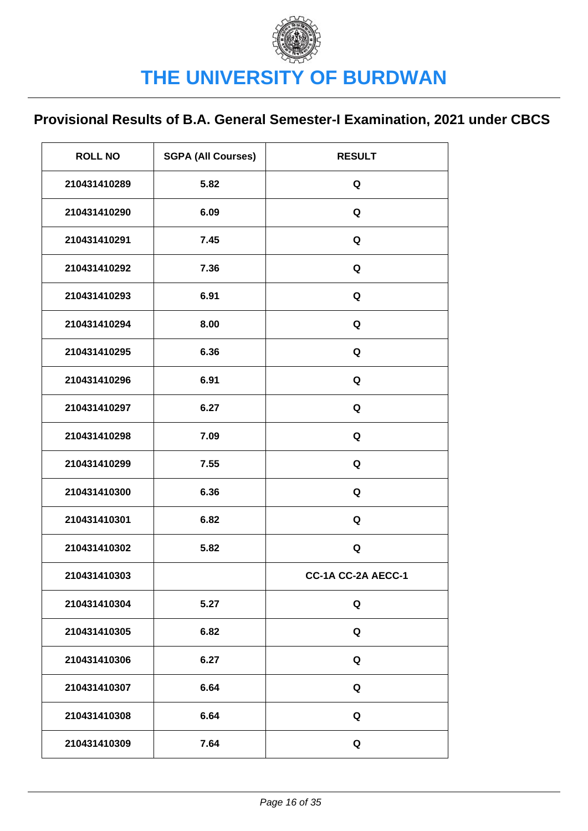| <b>ROLL NO</b> | <b>SGPA (All Courses)</b> | <b>RESULT</b>      |
|----------------|---------------------------|--------------------|
| 210431410289   | 5.82                      | Q                  |
| 210431410290   | 6.09                      | Q                  |
| 210431410291   | 7.45                      | Q                  |
| 210431410292   | 7.36                      | Q                  |
| 210431410293   | 6.91                      | Q                  |
| 210431410294   | 8.00                      | Q                  |
| 210431410295   | 6.36                      | Q                  |
| 210431410296   | 6.91                      | Q                  |
| 210431410297   | 6.27                      | Q                  |
| 210431410298   | 7.09                      | Q                  |
| 210431410299   | 7.55                      | Q                  |
| 210431410300   | 6.36                      | Q                  |
| 210431410301   | 6.82                      | Q                  |
| 210431410302   | 5.82                      | Q                  |
| 210431410303   |                           | CC-1A CC-2A AECC-1 |
| 210431410304   | 5.27                      | Q                  |
| 210431410305   | 6.82                      | Q                  |
| 210431410306   | 6.27                      | Q                  |
| 210431410307   | 6.64                      | Q                  |
| 210431410308   | 6.64                      | Q                  |
| 210431410309   | 7.64                      | Q                  |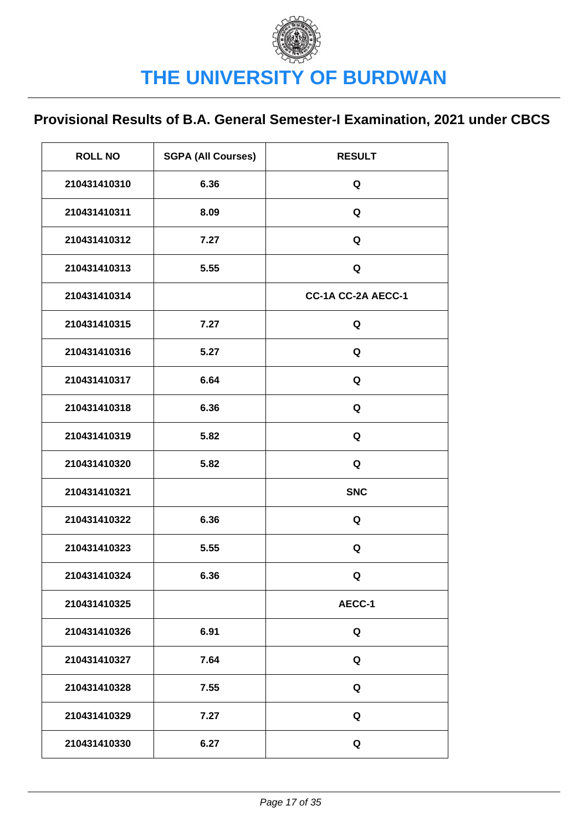| <b>ROLL NO</b> | <b>SGPA (All Courses)</b> | <b>RESULT</b>      |
|----------------|---------------------------|--------------------|
| 210431410310   | 6.36                      | Q                  |
| 210431410311   | 8.09                      | Q                  |
| 210431410312   | 7.27                      | Q                  |
| 210431410313   | 5.55                      | Q                  |
| 210431410314   |                           | CC-1A CC-2A AECC-1 |
| 210431410315   | 7.27                      | Q                  |
| 210431410316   | 5.27                      | Q                  |
| 210431410317   | 6.64                      | Q                  |
| 210431410318   | 6.36                      | Q                  |
| 210431410319   | 5.82                      | Q                  |
| 210431410320   | 5.82                      | Q                  |
| 210431410321   |                           | <b>SNC</b>         |
| 210431410322   | 6.36                      | Q                  |
| 210431410323   | 5.55                      | Q                  |
| 210431410324   | 6.36                      | Q                  |
| 210431410325   |                           | AECC-1             |
| 210431410326   | 6.91                      | Q                  |
| 210431410327   | 7.64                      | Q                  |
| 210431410328   | 7.55                      | Q                  |
| 210431410329   | 7.27                      | Q                  |
| 210431410330   | 6.27                      | Q                  |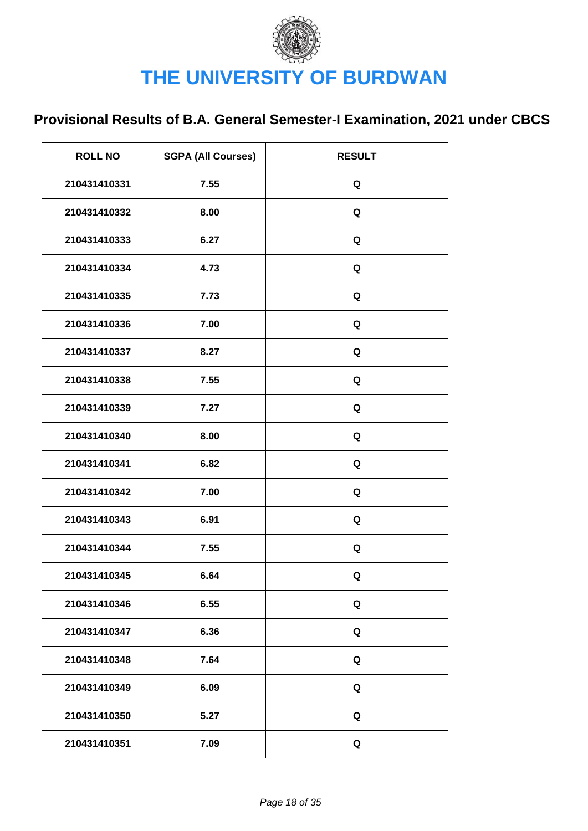| <b>ROLL NO</b> | <b>SGPA (All Courses)</b> | <b>RESULT</b> |
|----------------|---------------------------|---------------|
| 210431410331   | 7.55                      | Q             |
| 210431410332   | 8.00                      | Q             |
| 210431410333   | 6.27                      | Q             |
| 210431410334   | 4.73                      | Q             |
| 210431410335   | 7.73                      | Q             |
| 210431410336   | 7.00                      | Q             |
| 210431410337   | 8.27                      | Q             |
| 210431410338   | 7.55                      | Q             |
| 210431410339   | 7.27                      | Q             |
| 210431410340   | 8.00                      | Q             |
| 210431410341   | 6.82                      | Q             |
| 210431410342   | 7.00                      | Q             |
| 210431410343   | 6.91                      | Q             |
| 210431410344   | 7.55                      | Q             |
| 210431410345   | 6.64                      | Q             |
| 210431410346   | 6.55                      | Q             |
| 210431410347   | 6.36                      | Q             |
| 210431410348   | 7.64                      | Q             |
| 210431410349   | 6.09                      | Q             |
| 210431410350   | 5.27                      | Q             |
| 210431410351   | 7.09                      | Q             |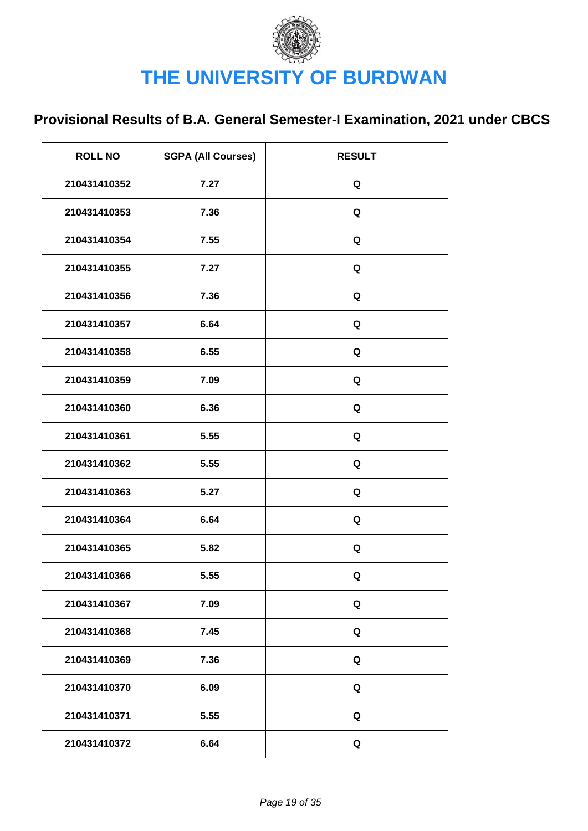| <b>ROLL NO</b> | <b>SGPA (All Courses)</b> | <b>RESULT</b> |
|----------------|---------------------------|---------------|
| 210431410352   | 7.27                      | Q             |
| 210431410353   | 7.36                      | Q             |
| 210431410354   | 7.55                      | Q             |
| 210431410355   | 7.27                      | Q             |
| 210431410356   | 7.36                      | Q             |
| 210431410357   | 6.64                      | Q             |
| 210431410358   | 6.55                      | Q             |
| 210431410359   | 7.09                      | Q             |
| 210431410360   | 6.36                      | Q             |
| 210431410361   | 5.55                      | Q             |
| 210431410362   | 5.55                      | Q             |
| 210431410363   | 5.27                      | Q             |
| 210431410364   | 6.64                      | Q             |
| 210431410365   | 5.82                      | Q             |
| 210431410366   | 5.55                      | Q             |
| 210431410367   | 7.09                      | Q             |
| 210431410368   | 7.45                      | Q             |
| 210431410369   | 7.36                      | Q             |
| 210431410370   | 6.09                      | Q             |
| 210431410371   | 5.55                      | Q             |
| 210431410372   | 6.64                      | Q             |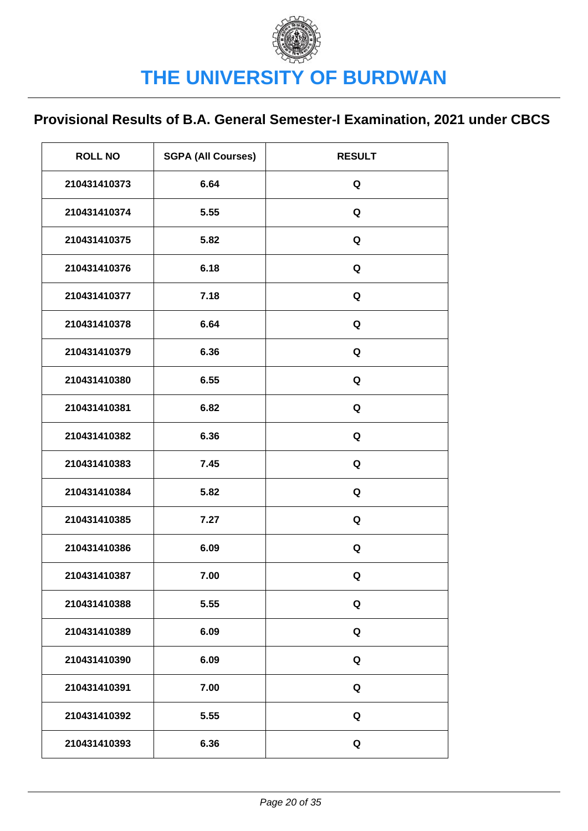| <b>ROLL NO</b> | <b>SGPA (All Courses)</b> | <b>RESULT</b> |
|----------------|---------------------------|---------------|
| 210431410373   | 6.64                      | Q             |
| 210431410374   | 5.55                      | Q             |
| 210431410375   | 5.82                      | Q             |
| 210431410376   | 6.18                      | Q             |
| 210431410377   | 7.18                      | Q             |
| 210431410378   | 6.64                      | Q             |
| 210431410379   | 6.36                      | Q             |
| 210431410380   | 6.55                      | Q             |
| 210431410381   | 6.82                      | Q             |
| 210431410382   | 6.36                      | Q             |
| 210431410383   | 7.45                      | Q             |
| 210431410384   | 5.82                      | Q             |
| 210431410385   | 7.27                      | Q             |
| 210431410386   | 6.09                      | Q             |
| 210431410387   | 7.00                      | Q             |
| 210431410388   | 5.55                      | Q             |
| 210431410389   | 6.09                      | Q             |
| 210431410390   | 6.09                      | Q             |
| 210431410391   | 7.00                      | Q             |
| 210431410392   | 5.55                      | Q             |
| 210431410393   | 6.36                      | Q             |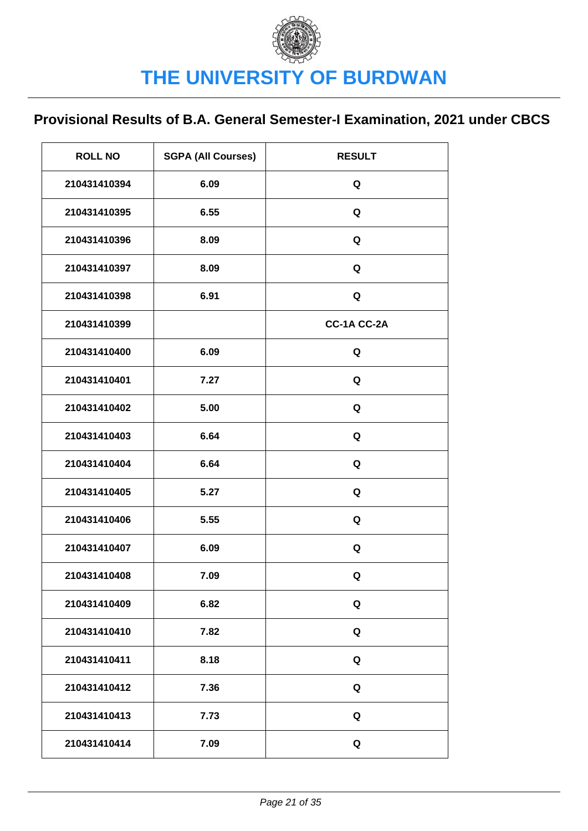| <b>ROLL NO</b> | <b>SGPA (All Courses)</b> | <b>RESULT</b> |
|----------------|---------------------------|---------------|
| 210431410394   | 6.09                      | Q             |
| 210431410395   | 6.55                      | Q             |
| 210431410396   | 8.09                      | Q             |
| 210431410397   | 8.09                      | Q             |
| 210431410398   | 6.91                      | Q             |
| 210431410399   |                           | CC-1A CC-2A   |
| 210431410400   | 6.09                      | Q             |
| 210431410401   | 7.27                      | Q             |
| 210431410402   | 5.00                      | Q             |
| 210431410403   | 6.64                      | Q             |
| 210431410404   | 6.64                      | Q             |
| 210431410405   | 5.27                      | Q             |
| 210431410406   | 5.55                      | Q             |
| 210431410407   | 6.09                      | Q             |
| 210431410408   | 7.09                      | Q             |
| 210431410409   | 6.82                      | Q             |
| 210431410410   | 7.82                      | Q             |
| 210431410411   | 8.18                      | Q             |
| 210431410412   | 7.36                      | Q             |
| 210431410413   | 7.73                      | Q             |
| 210431410414   | 7.09                      | Q             |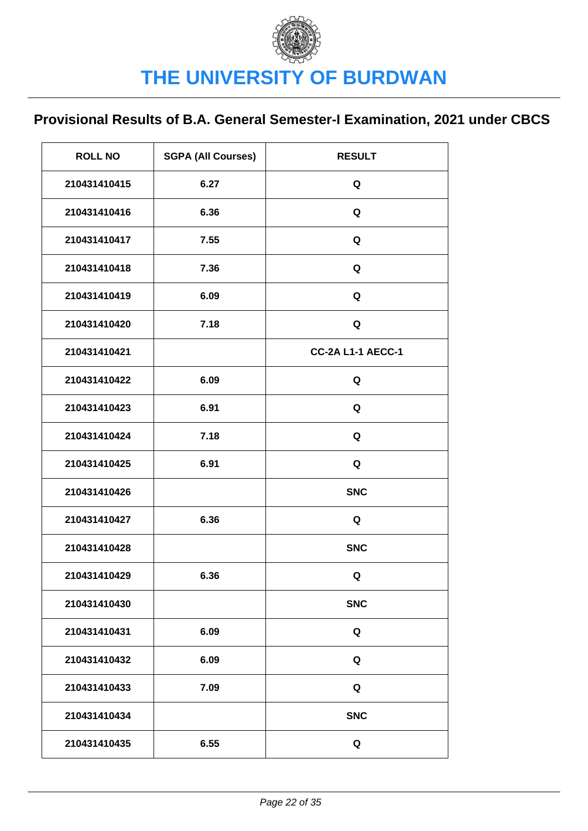| <b>ROLL NO</b> | <b>SGPA (All Courses)</b> | <b>RESULT</b>            |
|----------------|---------------------------|--------------------------|
| 210431410415   | 6.27                      | Q                        |
| 210431410416   | 6.36                      | Q                        |
| 210431410417   | 7.55                      | Q                        |
| 210431410418   | 7.36                      | Q                        |
| 210431410419   | 6.09                      | Q                        |
| 210431410420   | 7.18                      | Q                        |
| 210431410421   |                           | <b>CC-2A L1-1 AECC-1</b> |
| 210431410422   | 6.09                      | Q                        |
| 210431410423   | 6.91                      | Q                        |
| 210431410424   | 7.18                      | Q                        |
| 210431410425   | 6.91                      | Q                        |
| 210431410426   |                           | <b>SNC</b>               |
| 210431410427   | 6.36                      | Q                        |
| 210431410428   |                           | <b>SNC</b>               |
| 210431410429   | 6.36                      | Q                        |
| 210431410430   |                           | <b>SNC</b>               |
| 210431410431   | 6.09                      | Q                        |
| 210431410432   | 6.09                      | Q                        |
| 210431410433   | 7.09                      | Q                        |
| 210431410434   |                           | <b>SNC</b>               |
| 210431410435   | 6.55                      | Q                        |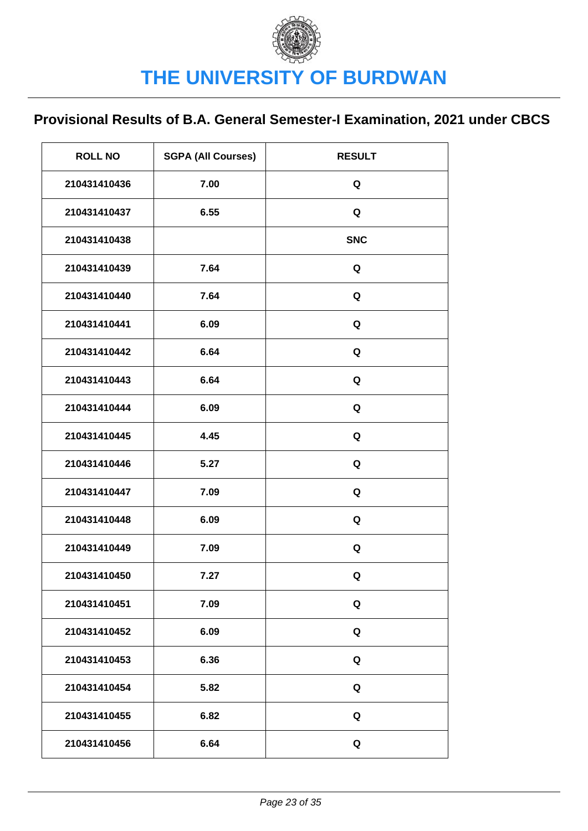| <b>ROLL NO</b> | <b>SGPA (All Courses)</b> | <b>RESULT</b> |
|----------------|---------------------------|---------------|
| 210431410436   | 7.00                      | Q             |
| 210431410437   | 6.55                      | Q             |
| 210431410438   |                           | <b>SNC</b>    |
| 210431410439   | 7.64                      | Q             |
| 210431410440   | 7.64                      | Q             |
| 210431410441   | 6.09                      | Q             |
| 210431410442   | 6.64                      | Q             |
| 210431410443   | 6.64                      | Q             |
| 210431410444   | 6.09                      | Q             |
| 210431410445   | 4.45                      | Q             |
| 210431410446   | 5.27                      | Q             |
| 210431410447   | 7.09                      | Q             |
| 210431410448   | 6.09                      | Q             |
| 210431410449   | 7.09                      | Q             |
| 210431410450   | 7.27                      | Q             |
| 210431410451   | 7.09                      | Q             |
| 210431410452   | 6.09                      | Q             |
| 210431410453   | 6.36                      | Q             |
| 210431410454   | 5.82                      | Q             |
| 210431410455   | 6.82                      | Q             |
| 210431410456   | 6.64                      | Q             |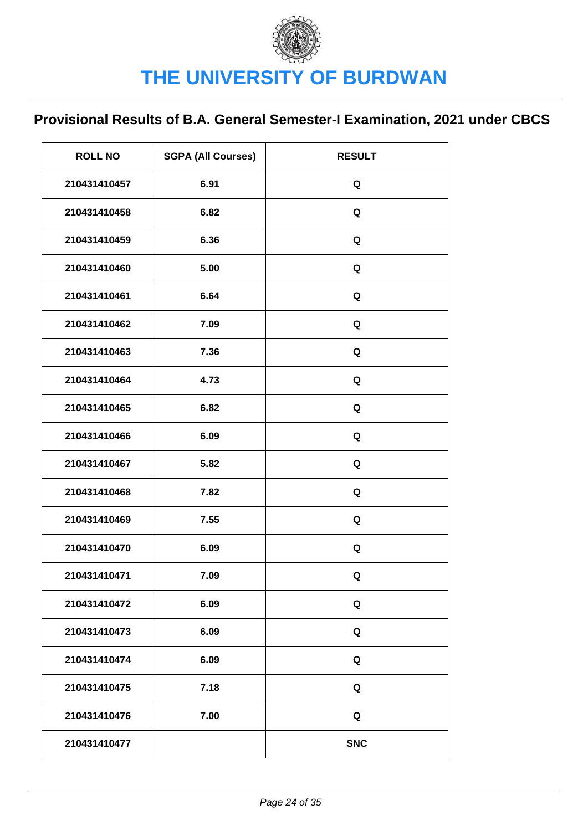| <b>ROLL NO</b> | <b>SGPA (All Courses)</b> | <b>RESULT</b> |
|----------------|---------------------------|---------------|
| 210431410457   | 6.91                      | Q             |
| 210431410458   | 6.82                      | Q             |
| 210431410459   | 6.36                      | Q             |
| 210431410460   | 5.00                      | Q             |
| 210431410461   | 6.64                      | Q             |
| 210431410462   | 7.09                      | Q             |
| 210431410463   | 7.36                      | Q             |
| 210431410464   | 4.73                      | Q             |
| 210431410465   | 6.82                      | Q             |
| 210431410466   | 6.09                      | Q             |
| 210431410467   | 5.82                      | Q             |
| 210431410468   | 7.82                      | Q             |
| 210431410469   | 7.55                      | Q             |
| 210431410470   | 6.09                      | Q             |
| 210431410471   | 7.09                      | Q             |
| 210431410472   | 6.09                      | Q             |
| 210431410473   | 6.09                      | Q             |
| 210431410474   | 6.09                      | Q             |
| 210431410475   | 7.18                      | Q             |
| 210431410476   | 7.00                      | Q             |
| 210431410477   |                           | <b>SNC</b>    |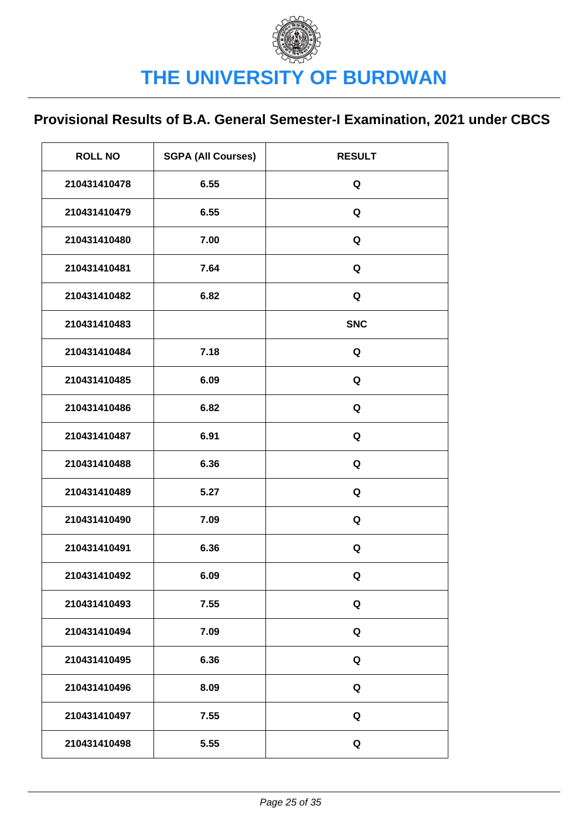| <b>ROLL NO</b> | <b>SGPA (All Courses)</b> | <b>RESULT</b> |
|----------------|---------------------------|---------------|
| 210431410478   | 6.55                      | Q             |
| 210431410479   | 6.55                      | Q             |
| 210431410480   | 7.00                      | Q             |
| 210431410481   | 7.64                      | Q             |
| 210431410482   | 6.82                      | Q             |
| 210431410483   |                           | <b>SNC</b>    |
| 210431410484   | 7.18                      | Q             |
| 210431410485   | 6.09                      | Q             |
| 210431410486   | 6.82                      | Q             |
| 210431410487   | 6.91                      | Q             |
| 210431410488   | 6.36                      | Q             |
| 210431410489   | 5.27                      | Q             |
| 210431410490   | 7.09                      | Q             |
| 210431410491   | 6.36                      | Q             |
| 210431410492   | 6.09                      | Q             |
| 210431410493   | 7.55                      | Q             |
| 210431410494   | 7.09                      | Q             |
| 210431410495   | 6.36                      | Q             |
| 210431410496   | 8.09                      | Q             |
| 210431410497   | 7.55                      | Q             |
| 210431410498   | 5.55                      | $\mathbf Q$   |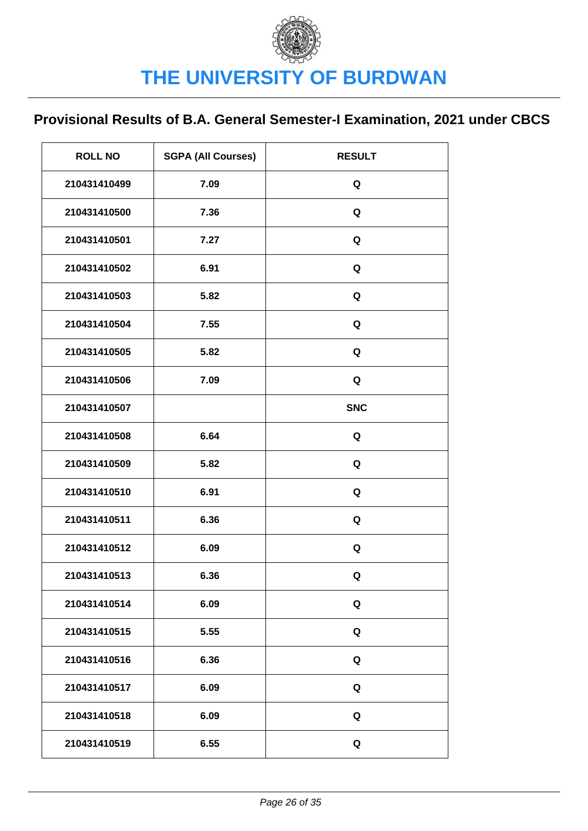| <b>ROLL NO</b> | <b>SGPA (All Courses)</b> | <b>RESULT</b> |
|----------------|---------------------------|---------------|
| 210431410499   | 7.09                      | Q             |
| 210431410500   | 7.36                      | Q             |
| 210431410501   | 7.27                      | Q             |
| 210431410502   | 6.91                      | Q             |
| 210431410503   | 5.82                      | Q             |
| 210431410504   | 7.55                      | Q             |
| 210431410505   | 5.82                      | Q             |
| 210431410506   | 7.09                      | Q             |
| 210431410507   |                           | <b>SNC</b>    |
| 210431410508   | 6.64                      | Q             |
| 210431410509   | 5.82                      | Q             |
| 210431410510   | 6.91                      | Q             |
| 210431410511   | 6.36                      | Q             |
| 210431410512   | 6.09                      | Q             |
| 210431410513   | 6.36                      | Q             |
| 210431410514   | 6.09                      | Q             |
| 210431410515   | 5.55                      | Q             |
| 210431410516   | 6.36                      | Q             |
| 210431410517   | 6.09                      | Q             |
| 210431410518   | 6.09                      | Q             |
| 210431410519   | 6.55                      | Q             |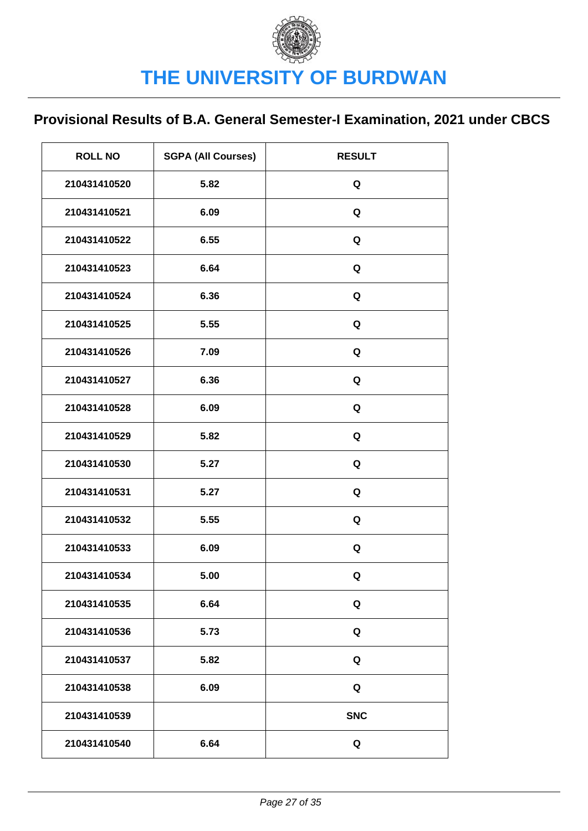| <b>ROLL NO</b> | <b>SGPA (All Courses)</b> | <b>RESULT</b> |
|----------------|---------------------------|---------------|
| 210431410520   | 5.82                      | Q             |
| 210431410521   | 6.09                      | Q             |
| 210431410522   | 6.55                      | Q             |
| 210431410523   | 6.64                      | Q             |
| 210431410524   | 6.36                      | Q             |
| 210431410525   | 5.55                      | Q             |
| 210431410526   | 7.09                      | Q             |
| 210431410527   | 6.36                      | Q             |
| 210431410528   | 6.09                      | Q             |
| 210431410529   | 5.82                      | Q             |
| 210431410530   | 5.27                      | Q             |
| 210431410531   | 5.27                      | Q             |
| 210431410532   | 5.55                      | Q             |
| 210431410533   | 6.09                      | Q             |
| 210431410534   | 5.00                      | Q             |
| 210431410535   | 6.64                      | Q             |
| 210431410536   | 5.73                      | Q             |
| 210431410537   | 5.82                      | Q             |
| 210431410538   | 6.09                      | Q             |
| 210431410539   |                           | <b>SNC</b>    |
| 210431410540   | 6.64                      | Q             |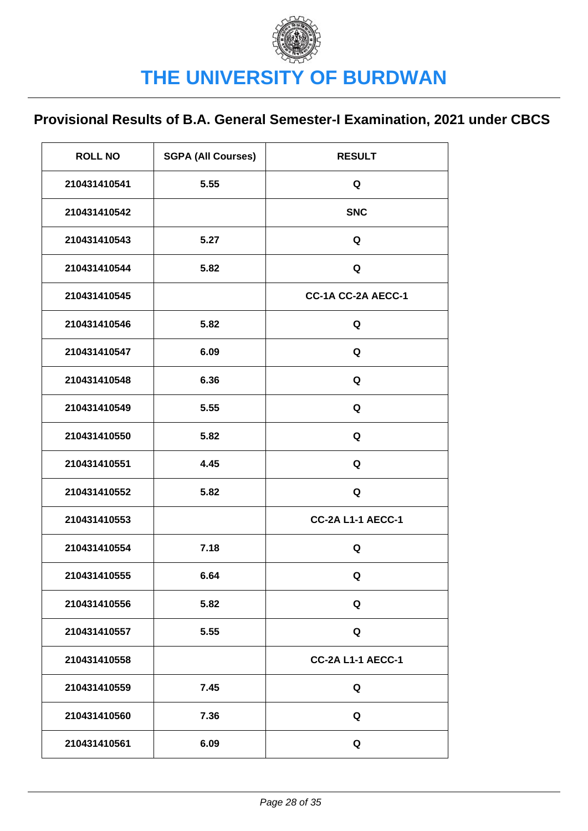| <b>ROLL NO</b> | <b>SGPA (All Courses)</b> | <b>RESULT</b>            |
|----------------|---------------------------|--------------------------|
| 210431410541   | 5.55                      | Q                        |
| 210431410542   |                           | <b>SNC</b>               |
| 210431410543   | 5.27                      | Q                        |
| 210431410544   | 5.82                      | Q                        |
| 210431410545   |                           | CC-1A CC-2A AECC-1       |
| 210431410546   | 5.82                      | Q                        |
| 210431410547   | 6.09                      | Q                        |
| 210431410548   | 6.36                      | Q                        |
| 210431410549   | 5.55                      | Q                        |
| 210431410550   | 5.82                      | Q                        |
| 210431410551   | 4.45                      | Q                        |
| 210431410552   | 5.82                      | Q                        |
| 210431410553   |                           | <b>CC-2A L1-1 AECC-1</b> |
| 210431410554   | 7.18                      | Q                        |
| 210431410555   | 6.64                      | Q                        |
| 210431410556   | 5.82                      | Q                        |
| 210431410557   | 5.55                      | Q                        |
| 210431410558   |                           | <b>CC-2A L1-1 AECC-1</b> |
| 210431410559   | 7.45                      | Q                        |
| 210431410560   | 7.36                      | Q                        |
| 210431410561   | 6.09                      | Q                        |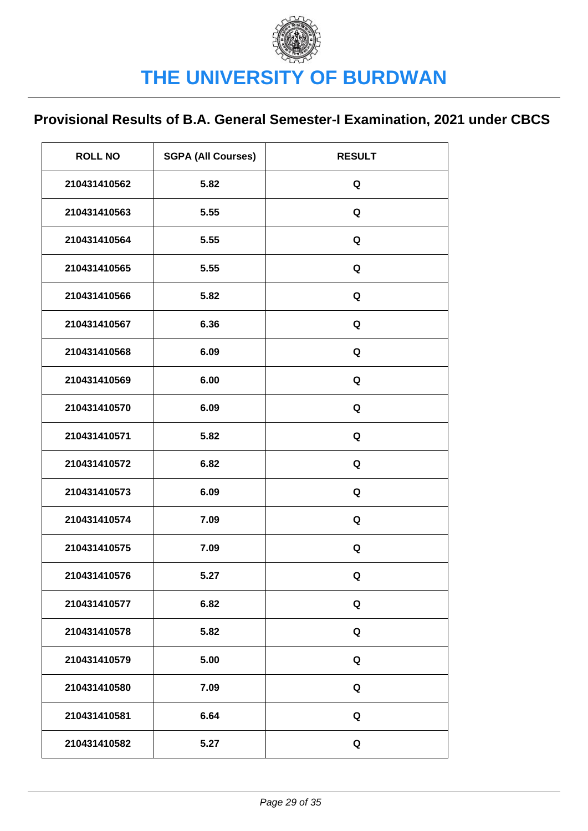| <b>ROLL NO</b> | <b>SGPA (All Courses)</b> | <b>RESULT</b> |
|----------------|---------------------------|---------------|
| 210431410562   | 5.82                      | Q             |
| 210431410563   | 5.55                      | Q             |
| 210431410564   | 5.55                      | Q             |
| 210431410565   | 5.55                      | Q             |
| 210431410566   | 5.82                      | Q             |
| 210431410567   | 6.36                      | Q             |
| 210431410568   | 6.09                      | Q             |
| 210431410569   | 6.00                      | Q             |
| 210431410570   | 6.09                      | Q             |
| 210431410571   | 5.82                      | Q             |
| 210431410572   | 6.82                      | Q             |
| 210431410573   | 6.09                      | Q             |
| 210431410574   | 7.09                      | Q             |
| 210431410575   | 7.09                      | Q             |
| 210431410576   | 5.27                      | Q             |
| 210431410577   | 6.82                      | Q             |
| 210431410578   | 5.82                      | Q             |
| 210431410579   | 5.00                      | Q             |
| 210431410580   | 7.09                      | Q             |
| 210431410581   | 6.64                      | Q             |
| 210431410582   | 5.27                      | Q             |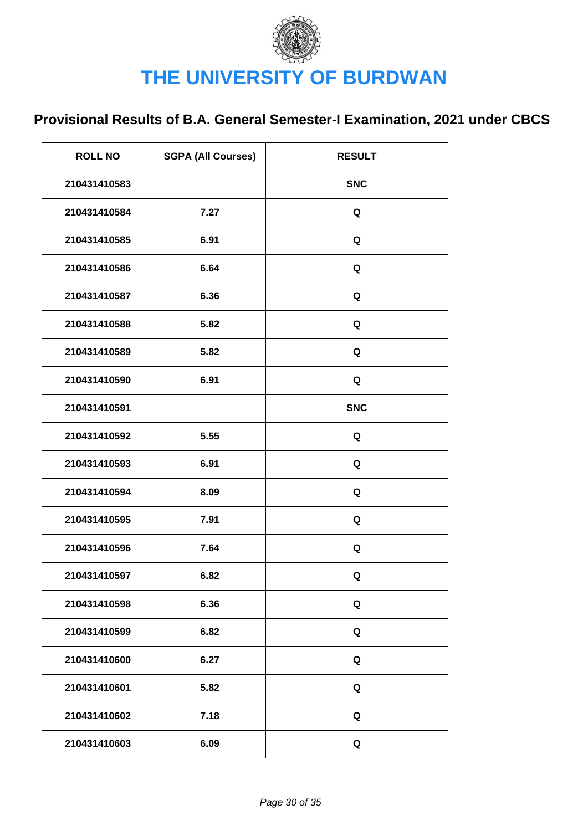| <b>ROLL NO</b> | <b>SGPA (All Courses)</b> | <b>RESULT</b> |
|----------------|---------------------------|---------------|
| 210431410583   |                           | <b>SNC</b>    |
| 210431410584   | 7.27                      | Q             |
| 210431410585   | 6.91                      | Q             |
| 210431410586   | 6.64                      | Q             |
| 210431410587   | 6.36                      | Q             |
| 210431410588   | 5.82                      | Q             |
| 210431410589   | 5.82                      | Q             |
| 210431410590   | 6.91                      | Q             |
| 210431410591   |                           | <b>SNC</b>    |
| 210431410592   | 5.55                      | Q             |
| 210431410593   | 6.91                      | Q             |
| 210431410594   | 8.09                      | Q             |
| 210431410595   | 7.91                      | Q             |
| 210431410596   | 7.64                      | Q             |
| 210431410597   | 6.82                      | Q             |
| 210431410598   | 6.36                      | Q             |
| 210431410599   | 6.82                      | Q             |
| 210431410600   | 6.27                      | Q             |
| 210431410601   | 5.82                      | Q             |
| 210431410602   | 7.18                      | Q             |
| 210431410603   | 6.09                      | Q             |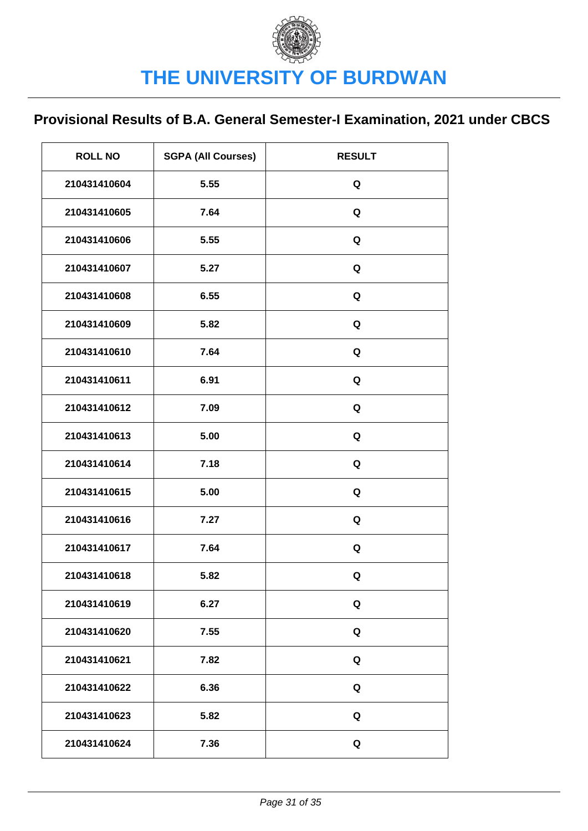| <b>ROLL NO</b> | <b>SGPA (All Courses)</b> | <b>RESULT</b> |
|----------------|---------------------------|---------------|
| 210431410604   | 5.55                      | Q             |
| 210431410605   | 7.64                      | Q             |
| 210431410606   | 5.55                      | Q             |
| 210431410607   | 5.27                      | Q             |
| 210431410608   | 6.55                      | Q             |
| 210431410609   | 5.82                      | Q             |
| 210431410610   | 7.64                      | Q             |
| 210431410611   | 6.91                      | Q             |
| 210431410612   | 7.09                      | Q             |
| 210431410613   | 5.00                      | Q             |
| 210431410614   | 7.18                      | Q             |
| 210431410615   | 5.00                      | Q             |
| 210431410616   | 7.27                      | Q             |
| 210431410617   | 7.64                      | Q             |
| 210431410618   | 5.82                      | Q             |
| 210431410619   | 6.27                      | Q             |
| 210431410620   | 7.55                      | Q             |
| 210431410621   | 7.82                      | Q             |
| 210431410622   | 6.36                      | Q             |
| 210431410623   | 5.82                      | Q             |
| 210431410624   | 7.36                      | Q             |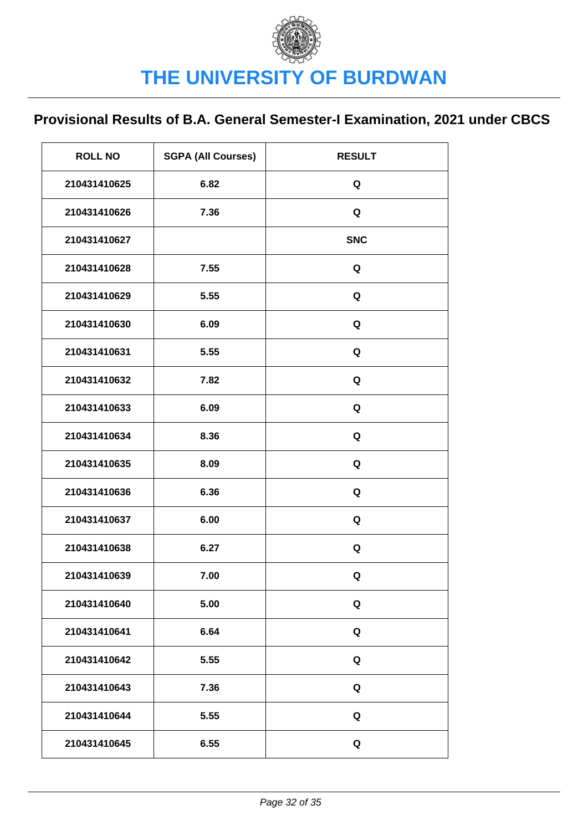| <b>ROLL NO</b> | <b>SGPA (All Courses)</b> | <b>RESULT</b> |
|----------------|---------------------------|---------------|
| 210431410625   | 6.82                      | Q             |
| 210431410626   | 7.36                      | Q             |
| 210431410627   |                           | <b>SNC</b>    |
| 210431410628   | 7.55                      | Q             |
| 210431410629   | 5.55                      | Q             |
| 210431410630   | 6.09                      | Q             |
| 210431410631   | 5.55                      | Q             |
| 210431410632   | 7.82                      | Q             |
| 210431410633   | 6.09                      | Q             |
| 210431410634   | 8.36                      | Q             |
| 210431410635   | 8.09                      | Q             |
| 210431410636   | 6.36                      | Q             |
| 210431410637   | 6.00                      | Q             |
| 210431410638   | 6.27                      | Q             |
| 210431410639   | 7.00                      | Q             |
| 210431410640   | 5.00                      | Q             |
| 210431410641   | 6.64                      | Q             |
| 210431410642   | 5.55                      | Q             |
| 210431410643   | 7.36                      | Q             |
| 210431410644   | 5.55                      | Q             |
| 210431410645   | 6.55                      | Q             |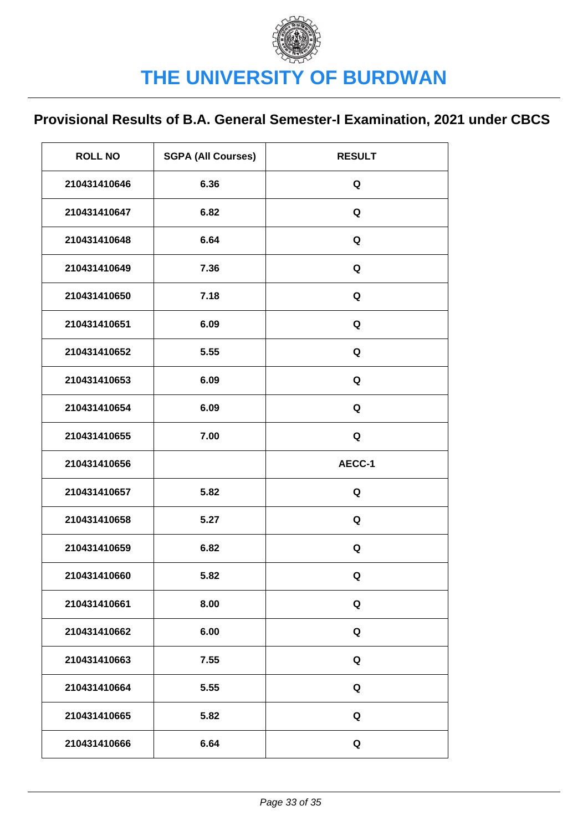| <b>ROLL NO</b> | <b>SGPA (All Courses)</b> | <b>RESULT</b> |
|----------------|---------------------------|---------------|
| 210431410646   | 6.36                      | Q             |
| 210431410647   | 6.82                      | Q             |
| 210431410648   | 6.64                      | Q             |
| 210431410649   | 7.36                      | Q             |
| 210431410650   | 7.18                      | Q             |
| 210431410651   | 6.09                      | Q             |
| 210431410652   | 5.55                      | Q             |
| 210431410653   | 6.09                      | Q             |
| 210431410654   | 6.09                      | Q             |
| 210431410655   | 7.00                      | Q             |
|                |                           |               |
| 210431410656   |                           | AECC-1        |
| 210431410657   | 5.82                      | Q             |
| 210431410658   | 5.27                      | Q             |
| 210431410659   | 6.82                      | Q             |
| 210431410660   | 5.82                      | Q             |
| 210431410661   | 8.00                      | Q             |
| 210431410662   | 6.00                      | Q             |
| 210431410663   | 7.55                      | Q             |
| 210431410664   | 5.55                      | Q             |
| 210431410665   | 5.82                      | Q             |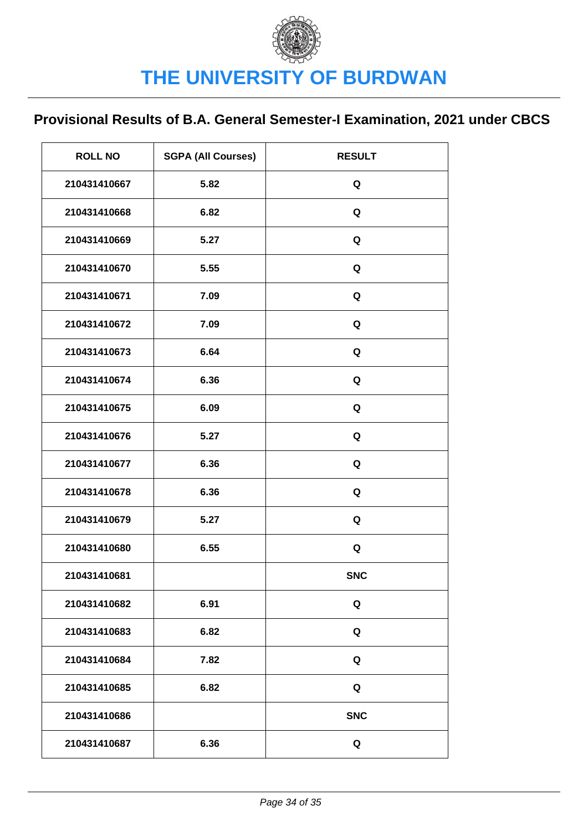| <b>ROLL NO</b> | <b>SGPA (All Courses)</b> | <b>RESULT</b> |
|----------------|---------------------------|---------------|
| 210431410667   | 5.82                      | Q             |
| 210431410668   | 6.82                      | Q             |
| 210431410669   | 5.27                      | Q             |
| 210431410670   | 5.55                      | Q             |
| 210431410671   | 7.09                      | Q             |
| 210431410672   | 7.09                      | Q             |
| 210431410673   | 6.64                      | Q             |
| 210431410674   | 6.36                      | Q             |
| 210431410675   | 6.09                      | Q             |
| 210431410676   | 5.27                      | Q             |
| 210431410677   | 6.36                      | Q             |
| 210431410678   | 6.36                      | Q             |
| 210431410679   | 5.27                      | Q             |
| 210431410680   | 6.55                      | Q             |
| 210431410681   |                           | <b>SNC</b>    |
| 210431410682   | 6.91                      | Q             |
| 210431410683   | 6.82                      | Q             |
| 210431410684   | 7.82                      | Q             |
| 210431410685   | 6.82                      | Q             |
| 210431410686   |                           | <b>SNC</b>    |
| 210431410687   | 6.36                      | Q             |